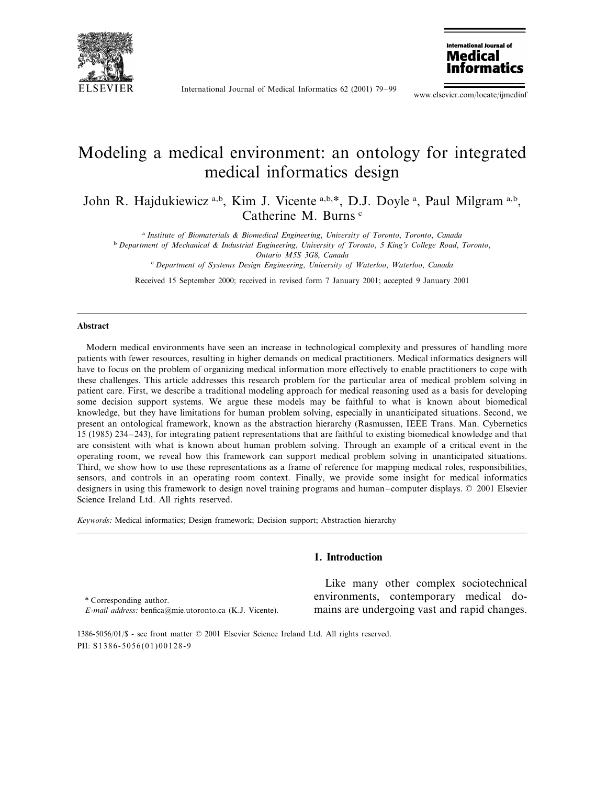

International Journal of Medical Informatics 62 (2001) 79–99



www.elsevier.com/locate/ijmedinf

# Modeling a medical environment: an ontology for integrated medical informatics design

John R. Hajdukiewicz a,b, Kim J. Vicente a,b,\*, D.J. Doyle a, Paul Milgram a,b, Catherine M. Burns <sup>c</sup>

<sup>a</sup> *Institute of Biomaterials & Biomedical Engineering*, *Uniersity of Toronto*, *Toronto*, *Canada* <sup>b</sup> *Department of Mechanical & Industrial Engineering*, *Uniersity of Toronto*, <sup>5</sup> *King*'*s College Road*, *Toronto*, *Ontario M*5*S* 3*G*8, *Canada* <sup>c</sup> *Department of Systems Design Engineering*, *Uniersity of Waterloo*, *Waterloo*, *Canada*

Received 15 September 2000; received in revised form 7 January 2001; accepted 9 January 2001

#### **Abstract**

Modern medical environments have seen an increase in technological complexity and pressures of handling more patients with fewer resources, resulting in higher demands on medical practitioners. Medical informatics designers will have to focus on the problem of organizing medical information more effectively to enable practitioners to cope with these challenges. This article addresses this research problem for the particular area of medical problem solving in patient care. First, we describe a traditional modeling approach for medical reasoning used as a basis for developing some decision support systems. We argue these models may be faithful to what is known about biomedical knowledge, but they have limitations for human problem solving, especially in unanticipated situations. Second, we present an ontological framework, known as the abstraction hierarchy (Rasmussen, IEEE Trans. Man. Cybernetics 15 (1985) 234–243), for integrating patient representations that are faithful to existing biomedical knowledge and that are consistent with what is known about human problem solving. Through an example of a critical event in the operating room, we reveal how this framework can support medical problem solving in unanticipated situations. Third, we show how to use these representations as a frame of reference for mapping medical roles, responsibilities, sensors, and controls in an operating room context. Finally, we provide some insight for medical informatics designers in using this framework to design novel training programs and human–computer displays. © 2001 Elsevier Science Ireland Ltd. All rights reserved.

*Keywords*: Medical informatics; Design framework; Decision support; Abstraction hierarchy

### **1. Introduction**

\* Corresponding author. *E*-*mail address*: benfica@mie.utoronto.ca (K.J. Vicente).

Like many other complex sociotechnical environments, contemporary medical domains are undergoing vast and rapid changes.

1386-5056/01/\$ - see front matter © 2001 Elsevier Science Ireland Ltd. All rights reserved. PII: S 1 3 8 6 - 5 0 5 6 ( 0 1 ) 0 0 1 2 8 - 9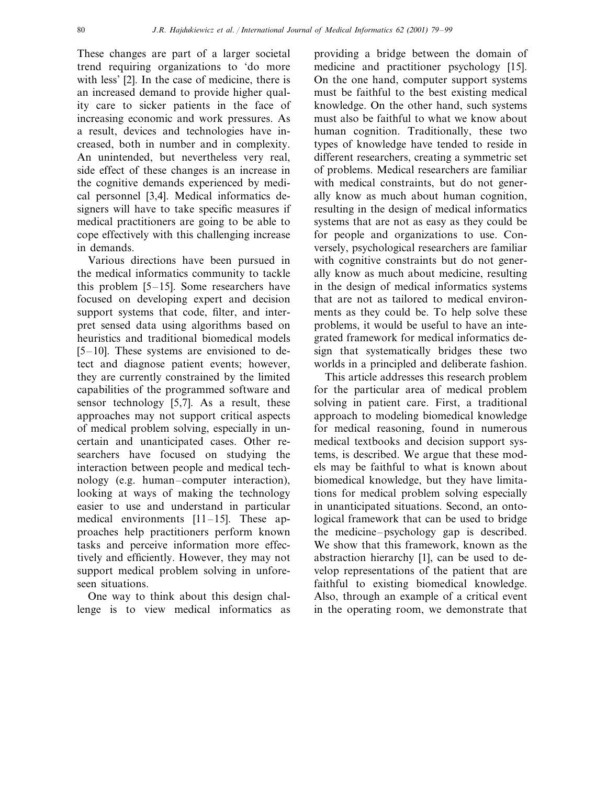These changes are part of a larger societal trend requiring organizations to 'do more with less' [2]. In the case of medicine, there is an increased demand to provide higher quality care to sicker patients in the face of increasing economic and work pressures. As a result, devices and technologies have increased, both in number and in complexity. An unintended, but nevertheless very real, side effect of these changes is an increase in the cognitive demands experienced by medical personnel [3,4]. Medical informatics designers will have to take specific measures if medical practitioners are going to be able to cope effectively with this challenging increase in demands.

Various directions have been pursued in the medical informatics community to tackle this problem [5–15]. Some researchers have focused on developing expert and decision support systems that code, filter, and interpret sensed data using algorithms based on heuristics and traditional biomedical models [5–10]. These systems are envisioned to detect and diagnose patient events; however, they are currently constrained by the limited capabilities of the programmed software and sensor technology [5,7]. As a result, these approaches may not support critical aspects of medical problem solving, especially in uncertain and unanticipated cases. Other researchers have focused on studying the interaction between people and medical technology (e.g. human–computer interaction), looking at ways of making the technology easier to use and understand in particular medical environments  $[11-15]$ . These approaches help practitioners perform known tasks and perceive information more effectively and efficiently. However, they may not support medical problem solving in unforeseen situations.

One way to think about this design challenge is to view medical informatics as providing a bridge between the domain of medicine and practitioner psychology [15]. On the one hand, computer support systems must be faithful to the best existing medical knowledge. On the other hand, such systems must also be faithful to what we know about human cognition. Traditionally, these two types of knowledge have tended to reside in different researchers, creating a symmetric set of problems. Medical researchers are familiar with medical constraints, but do not generally know as much about human cognition, resulting in the design of medical informatics systems that are not as easy as they could be for people and organizations to use. Conversely, psychological researchers are familiar with cognitive constraints but do not generally know as much about medicine, resulting in the design of medical informatics systems that are not as tailored to medical environments as they could be. To help solve these problems, it would be useful to have an integrated framework for medical informatics design that systematically bridges these two worlds in a principled and deliberate fashion.

This article addresses this research problem for the particular area of medical problem solving in patient care. First, a traditional approach to modeling biomedical knowledge for medical reasoning, found in numerous medical textbooks and decision support systems, is described. We argue that these models may be faithful to what is known about biomedical knowledge, but they have limitations for medical problem solving especially in unanticipated situations. Second, an ontological framework that can be used to bridge the medicine–psychology gap is described. We show that this framework, known as the abstraction hierarchy [1], can be used to develop representations of the patient that are faithful to existing biomedical knowledge. Also, through an example of a critical event in the operating room, we demonstrate that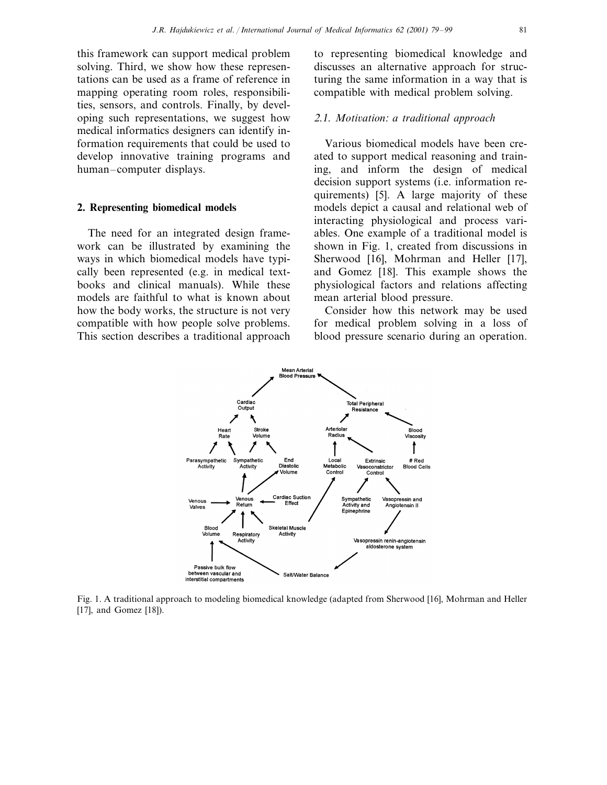this framework can support medical problem solving. Third, we show how these representations can be used as a frame of reference in mapping operating room roles, responsibilities, sensors, and controls. Finally, by developing such representations, we suggest how medical informatics designers can identify information requirements that could be used to develop innovative training programs and human–computer displays.

### **2. Representing biomedical models**

The need for an integrated design framework can be illustrated by examining the ways in which biomedical models have typically been represented (e.g. in medical textbooks and clinical manuals). While these models are faithful to what is known about how the body works, the structure is not very compatible with how people solve problems. This section describes a traditional approach to representing biomedical knowledge and discusses an alternative approach for structuring the same information in a way that is compatible with medical problem solving.

### <sup>2</sup>.1. *Motiation*: *a traditional approach*

Various biomedical models have been created to support medical reasoning and training, and inform the design of medical decision support systems (i.e. information requirements) [5]. A large majority of these models depict a causal and relational web of interacting physiological and process variables. One example of a traditional model is shown in Fig. 1, created from discussions in Sherwood [16], Mohrman and Heller [17], and Gomez [18]. This example shows the physiological factors and relations affecting mean arterial blood pressure.

Consider how this network may be used for medical problem solving in a loss of blood pressure scenario during an operation.



Fig. 1. A traditional approach to modeling biomedical knowledge (adapted from Sherwood [16], Mohrman and Heller [17], and Gomez [18]).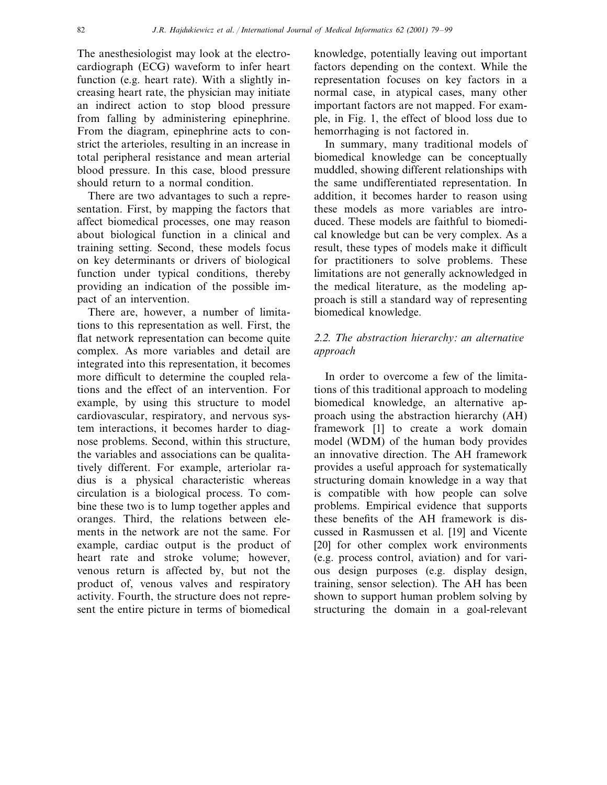The anesthesiologist may look at the electrocardiograph (ECG) waveform to infer heart function (e.g. heart rate). With a slightly increasing heart rate, the physician may initiate an indirect action to stop blood pressure from falling by administering epinephrine. From the diagram, epinephrine acts to constrict the arterioles, resulting in an increase in total peripheral resistance and mean arterial blood pressure. In this case, blood pressure should return to a normal condition.

There are two advantages to such a representation. First, by mapping the factors that affect biomedical processes, one may reason about biological function in a clinical and training setting. Second, these models focus on key determinants or drivers of biological function under typical conditions, thereby providing an indication of the possible impact of an intervention.

There are, however, a number of limitations to this representation as well. First, the flat network representation can become quite complex. As more variables and detail are integrated into this representation, it becomes more difficult to determine the coupled relations and the effect of an intervention. For example, by using this structure to model cardiovascular, respiratory, and nervous system interactions, it becomes harder to diagnose problems. Second, within this structure, the variables and associations can be qualitatively different. For example, arteriolar radius is a physical characteristic whereas circulation is a biological process. To combine these two is to lump together apples and oranges. Third, the relations between elements in the network are not the same. For example, cardiac output is the product of heart rate and stroke volume; however, venous return is affected by, but not the product of, venous valves and respiratory activity. Fourth, the structure does not represent the entire picture in terms of biomedical knowledge, potentially leaving out important factors depending on the context. While the representation focuses on key factors in a normal case, in atypical cases, many other important factors are not mapped. For example, in Fig. 1, the effect of blood loss due to hemorrhaging is not factored in.

In summary, many traditional models of biomedical knowledge can be conceptually muddled, showing different relationships with the same undifferentiated representation. In addition, it becomes harder to reason using these models as more variables are introduced. These models are faithful to biomedical knowledge but can be very complex. As a result, these types of models make it difficult for practitioners to solve problems. These limitations are not generally acknowledged in the medical literature, as the modeling approach is still a standard way of representing biomedical knowledge.

# <sup>2</sup>.2. *The abstraction hierarchy*: *an alternatie approach*

In order to overcome a few of the limitations of this traditional approach to modeling biomedical knowledge, an alternative approach using the abstraction hierarchy (AH) framework [1] to create a work domain model (WDM) of the human body provides an innovative direction. The AH framework provides a useful approach for systematically structuring domain knowledge in a way that is compatible with how people can solve problems. Empirical evidence that supports these benefits of the AH framework is discussed in Rasmussen et al. [19] and Vicente [20] for other complex work environments (e.g. process control, aviation) and for various design purposes (e.g. display design, training, sensor selection). The AH has been shown to support human problem solving by structuring the domain in a goal-relevant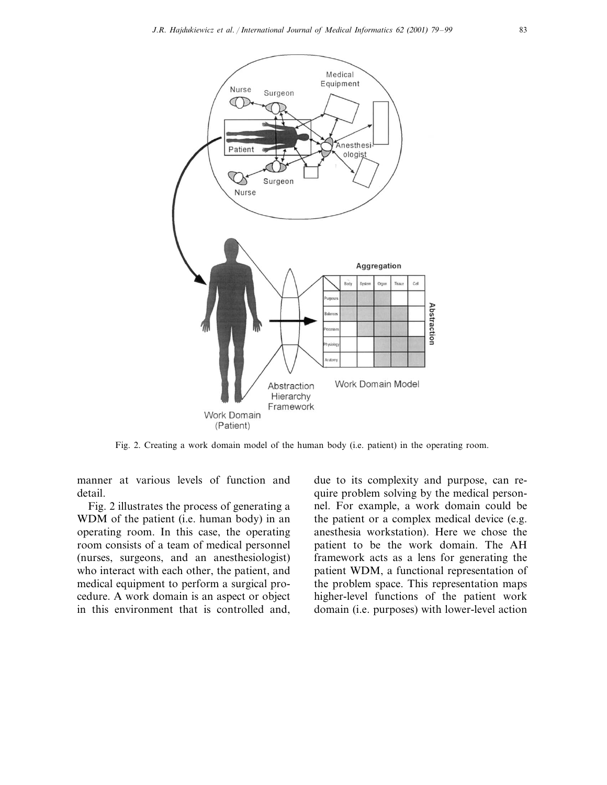

Fig. 2. Creating a work domain model of the human body (i.e. patient) in the operating room.

manner at various levels of function and detail.

Fig. 2 illustrates the process of generating a WDM of the patient (i.e. human body) in an operating room. In this case, the operating room consists of a team of medical personnel (nurses, surgeons, and an anesthesiologist) who interact with each other, the patient, and medical equipment to perform a surgical procedure. A work domain is an aspect or object in this environment that is controlled and, due to its complexity and purpose, can require problem solving by the medical personnel. For example, a work domain could be the patient or a complex medical device (e.g. anesthesia workstation). Here we chose the patient to be the work domain. The AH framework acts as a lens for generating the patient WDM, a functional representation of the problem space. This representation maps higher-level functions of the patient work domain (i.e. purposes) with lower-level action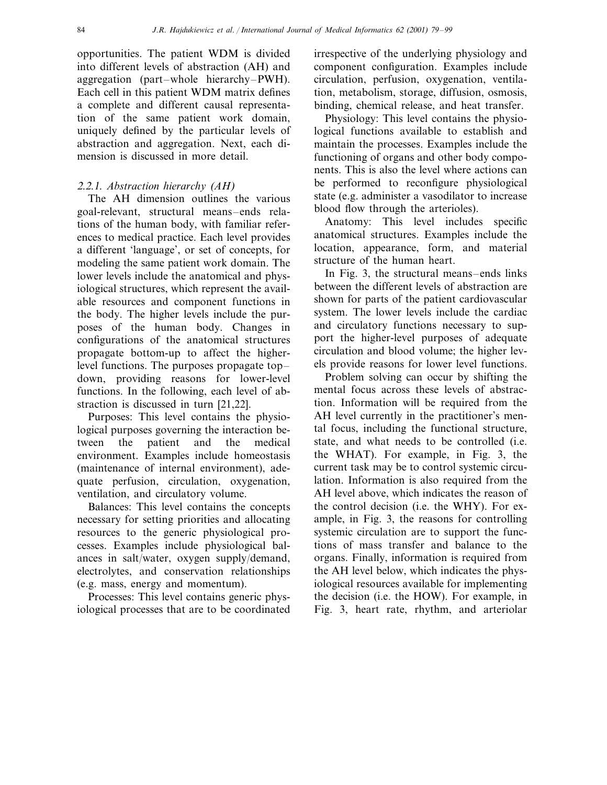opportunities. The patient WDM is divided into different levels of abstraction (AH) and aggregation (part–whole hierarchy–PWH). Each cell in this patient WDM matrix defines a complete and different causal representation of the same patient work domain, uniquely defined by the particular levels of abstraction and aggregation. Next, each dimension is discussed in more detail.

## <sup>2</sup>.2.1. *Abstraction hierarchy* (*AH*)

The AH dimension outlines the various goal-relevant, structural means–ends relations of the human body, with familiar references to medical practice. Each level provides a different 'language', or set of concepts, for modeling the same patient work domain. The lower levels include the anatomical and physiological structures, which represent the available resources and component functions in the body. The higher levels include the purposes of the human body. Changes in configurations of the anatomical structures propagate bottom-up to affect the higherlevel functions. The purposes propagate top– down, providing reasons for lower-level functions. In the following, each level of abstraction is discussed in turn [21,22].

Purposes: This level contains the physiological purposes governing the interaction between the patient and the medical environment. Examples include homeostasis (maintenance of internal environment), adequate perfusion, circulation, oxygenation, ventilation, and circulatory volume.

Balances: This level contains the concepts necessary for setting priorities and allocating resources to the generic physiological processes. Examples include physiological balances in salt/water, oxygen supply/demand, electrolytes, and conservation relationships (e.g. mass, energy and momentum).

Processes: This level contains generic physiological processes that are to be coordinated irrespective of the underlying physiology and component configuration. Examples include circulation, perfusion, oxygenation, ventilation, metabolism, storage, diffusion, osmosis, binding, chemical release, and heat transfer.

Physiology: This level contains the physiological functions available to establish and maintain the processes. Examples include the functioning of organs and other body components. This is also the level where actions can be performed to reconfigure physiological state (e.g. administer a vasodilator to increase blood flow through the arterioles).

Anatomy: This level includes specific anatomical structures. Examples include the location, appearance, form, and material structure of the human heart.

In Fig. 3, the structural means–ends links between the different levels of abstraction are shown for parts of the patient cardiovascular system. The lower levels include the cardiac and circulatory functions necessary to support the higher-level purposes of adequate circulation and blood volume; the higher levels provide reasons for lower level functions.

Problem solving can occur by shifting the mental focus across these levels of abstraction. Information will be required from the AH level currently in the practitioner's mental focus, including the functional structure, state, and what needs to be controlled (i.e. the WHAT). For example, in Fig. 3, the current task may be to control systemic circulation. Information is also required from the AH level above, which indicates the reason of the control decision (i.e. the WHY). For example, in Fig. 3, the reasons for controlling systemic circulation are to support the functions of mass transfer and balance to the organs. Finally, information is required from the AH level below, which indicates the physiological resources available for implementing the decision (i.e. the HOW). For example, in Fig. 3, heart rate, rhythm, and arteriolar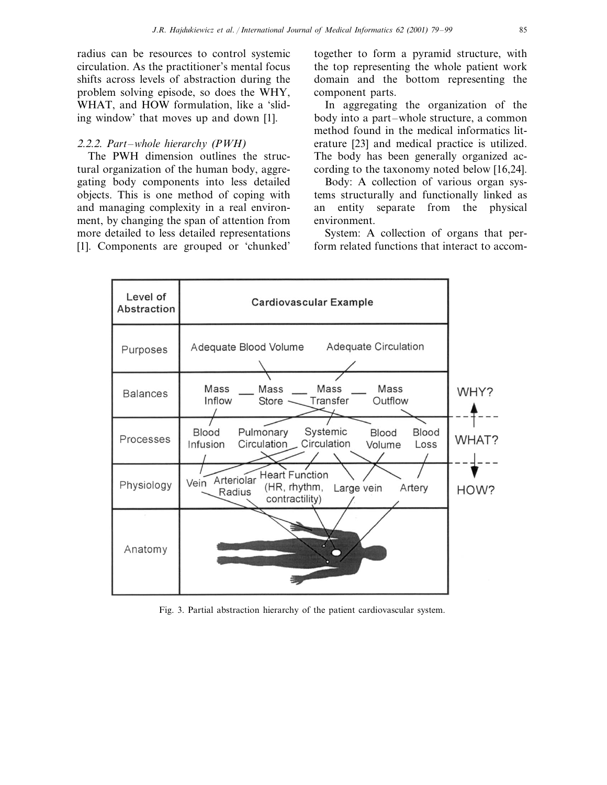radius can be resources to control systemic circulation. As the practitioner's mental focus shifts across levels of abstraction during the problem solving episode, so does the WHY, WHAT, and HOW formulation, like a 'sliding window' that moves up and down [1].

## <sup>2</sup>.2.2. *Part*–*whole hierarchy* (*PWH*)

The PWH dimension outlines the structural organization of the human body, aggregating body components into less detailed objects. This is one method of coping with and managing complexity in a real environment, by changing the span of attention from more detailed to less detailed representations [1]. Components are grouped or 'chunked'

together to form a pyramid structure, with the top representing the whole patient work domain and the bottom representing the component parts.

In aggregating the organization of the body into a part–whole structure, a common method found in the medical informatics literature [23] and medical practice is utilized. The body has been generally organized according to the taxonomy noted below [16,24].

Body: A collection of various organ systems structurally and functionally linked as an entity separate from the physical environment.

System: A collection of organs that perform related functions that interact to accom-



Fig. 3. Partial abstraction hierarchy of the patient cardiovascular system.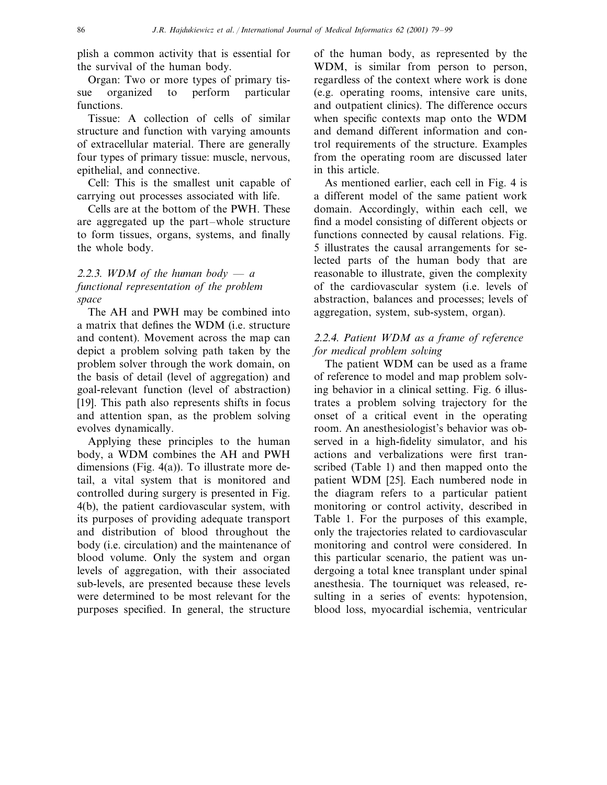plish a common activity that is essential for the survival of the human body.

Organ: Two or more types of primary tissue organized to perform particular functions.

Tissue: A collection of cells of similar structure and function with varying amounts of extracellular material. There are generally four types of primary tissue: muscle, nervous, epithelial, and connective.

Cell: This is the smallest unit capable of carrying out processes associated with life.

Cells are at the bottom of the PWH. These are aggregated up the part–whole structure to form tissues, organs, systems, and finally the whole body.

# 2.2.3. *WDM of the human body — a functional representation of the problem space*

The AH and PWH may be combined into a matrix that defines the WDM (i.e. structure and content). Movement across the map can depict a problem solving path taken by the problem solver through the work domain, on the basis of detail (level of aggregation) and goal-relevant function (level of abstraction) [19]. This path also represents shifts in focus and attention span, as the problem solving evolves dynamically.

Applying these principles to the human body, a WDM combines the AH and PWH dimensions (Fig. 4(a)). To illustrate more detail, a vital system that is monitored and controlled during surgery is presented in Fig. 4(b), the patient cardiovascular system, with its purposes of providing adequate transport and distribution of blood throughout the body (i.e. circulation) and the maintenance of blood volume. Only the system and organ levels of aggregation, with their associated sub-levels, are presented because these levels were determined to be most relevant for the purposes specified. In general, the structure of the human body, as represented by the WDM, is similar from person to person. regardless of the context where work is done (e.g. operating rooms, intensive care units, and outpatient clinics). The difference occurs when specific contexts map onto the WDM and demand different information and control requirements of the structure. Examples from the operating room are discussed later in this article.

As mentioned earlier, each cell in Fig. 4 is a different model of the same patient work domain. Accordingly, within each cell, we find a model consisting of different objects or functions connected by causal relations. Fig. 5 illustrates the causal arrangements for selected parts of the human body that are reasonable to illustrate, given the complexity of the cardiovascular system (i.e. levels of abstraction, balances and processes; levels of aggregation, system, sub-system, organ).

## <sup>2</sup>.2.4. *Patient WDM as a frame of reference for medical problem soling*

The patient WDM can be used as a frame of reference to model and map problem solving behavior in a clinical setting. Fig. 6 illustrates a problem solving trajectory for the onset of a critical event in the operating room. An anesthesiologist's behavior was observed in a high-fidelity simulator, and his actions and verbalizations were first transcribed (Table 1) and then mapped onto the patient WDM [25]. Each numbered node in the diagram refers to a particular patient monitoring or control activity, described in Table 1. For the purposes of this example, only the trajectories related to cardiovascular monitoring and control were considered. In this particular scenario, the patient was undergoing a total knee transplant under spinal anesthesia. The tourniquet was released, resulting in a series of events: hypotension, blood loss, myocardial ischemia, ventricular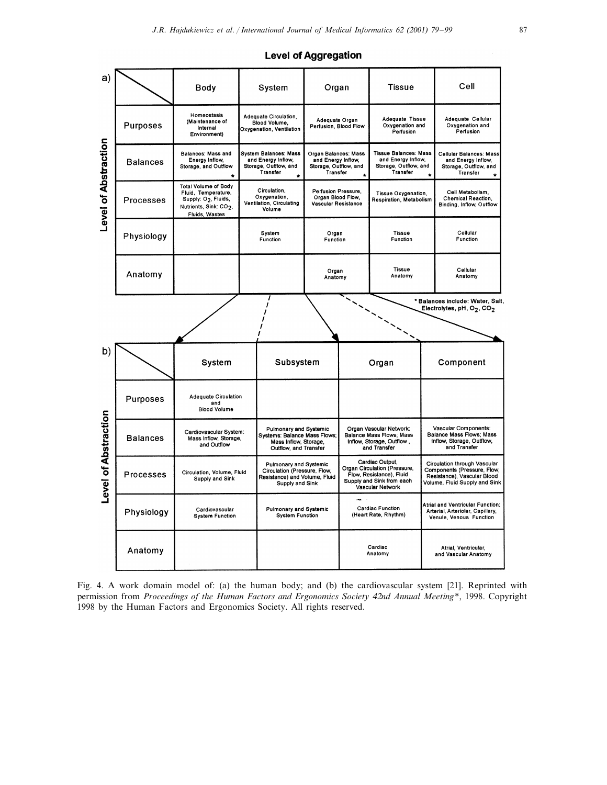

**Level of Aggregation** 

Fig. 4. A work domain model of: (a) the human body; and (b) the cardiovascular system [21]. Reprinted with permission from *Proceedings of the Human Factors and Ergonomics Society* <sup>42</sup>*nd Annual Meeting*\*, 1998. Copyright 1998 by the Human Factors and Ergonomics Society. All rights reserved.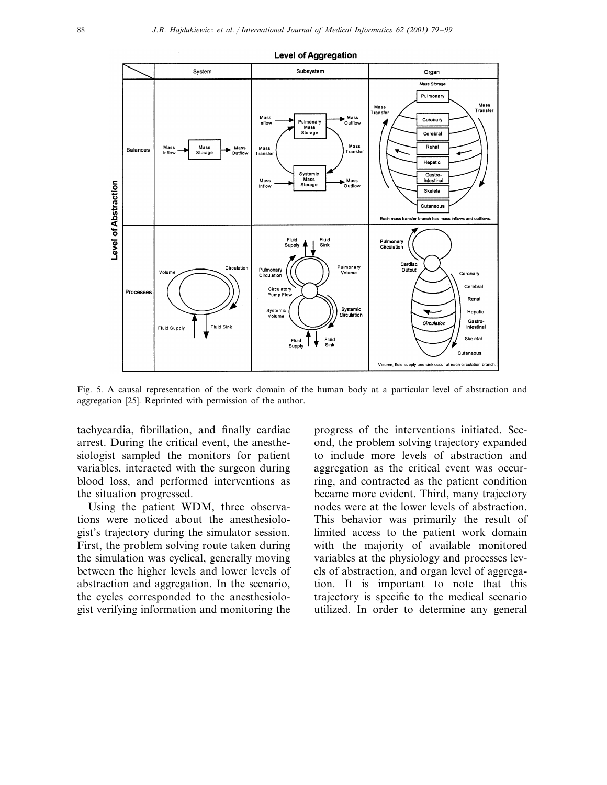

#### **Level of Aggregation**

Fig. 5. A causal representation of the work domain of the human body at a particular level of abstraction and aggregation [25]. Reprinted with permission of the author.

tachycardia, fibrillation, and finally cardiac arrest. During the critical event, the anesthesiologist sampled the monitors for patient variables, interacted with the surgeon during blood loss, and performed interventions as the situation progressed.

Using the patient WDM, three observations were noticed about the anesthesiologist's trajectory during the simulator session. First, the problem solving route taken during the simulation was cyclical, generally moving between the higher levels and lower levels of abstraction and aggregation. In the scenario, the cycles corresponded to the anesthesiologist verifying information and monitoring the

progress of the interventions initiated. Second, the problem solving trajectory expanded to include more levels of abstraction and aggregation as the critical event was occurring, and contracted as the patient condition became more evident. Third, many trajectory nodes were at the lower levels of abstraction. This behavior was primarily the result of limited access to the patient work domain with the majority of available monitored variables at the physiology and processes levels of abstraction, and organ level of aggregation. It is important to note that this trajectory is specific to the medical scenario utilized. In order to determine any general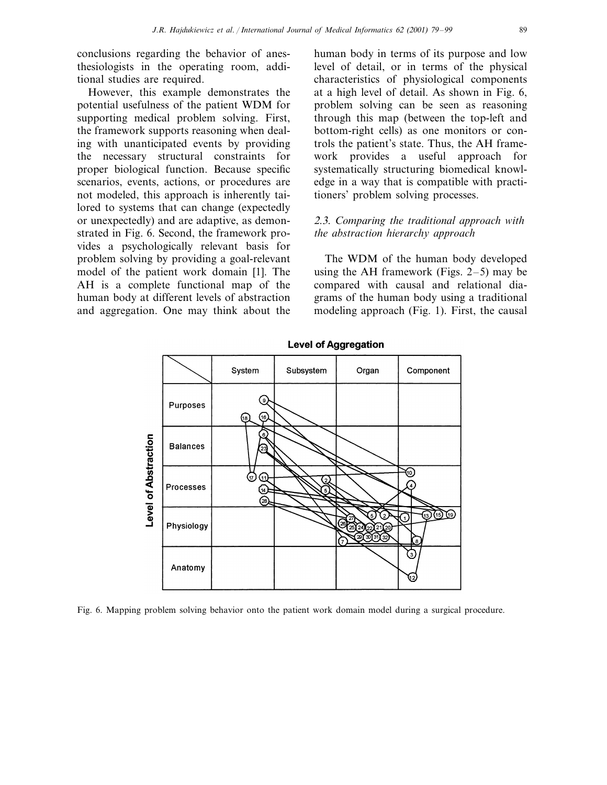conclusions regarding the behavior of anesthesiologists in the operating room, additional studies are required.

However, this example demonstrates the potential usefulness of the patient WDM for supporting medical problem solving. First, the framework supports reasoning when dealing with unanticipated events by providing the necessary structural constraints for proper biological function. Because specific scenarios, events, actions, or procedures are not modeled, this approach is inherently tailored to systems that can change (expectedly or unexpectedly) and are adaptive, as demonstrated in Fig. 6. Second, the framework provides a psychologically relevant basis for problem solving by providing a goal-relevant model of the patient work domain [1]. The AH is a complete functional map of the human body at different levels of abstraction and aggregation. One may think about the

human body in terms of its purpose and low level of detail, or in terms of the physical characteristics of physiological components at a high level of detail. As shown in Fig. 6, problem solving can be seen as reasoning through this map (between the top-left and bottom-right cells) as one monitors or controls the patient's state. Thus, the AH framework provides a useful approach for systematically structuring biomedical knowledge in a way that is compatible with practitioners' problem solving processes.

## <sup>2</sup>.3. *Comparing the traditional approach with the abstraction hierarchy approach*

The WDM of the human body developed using the AH framework (Figs.  $2-5$ ) may be compared with causal and relational diagrams of the human body using a traditional modeling approach (Fig. 1). First, the causal



**Level of Aggregation** 

Fig. 6. Mapping problem solving behavior onto the patient work domain model during a surgical procedure.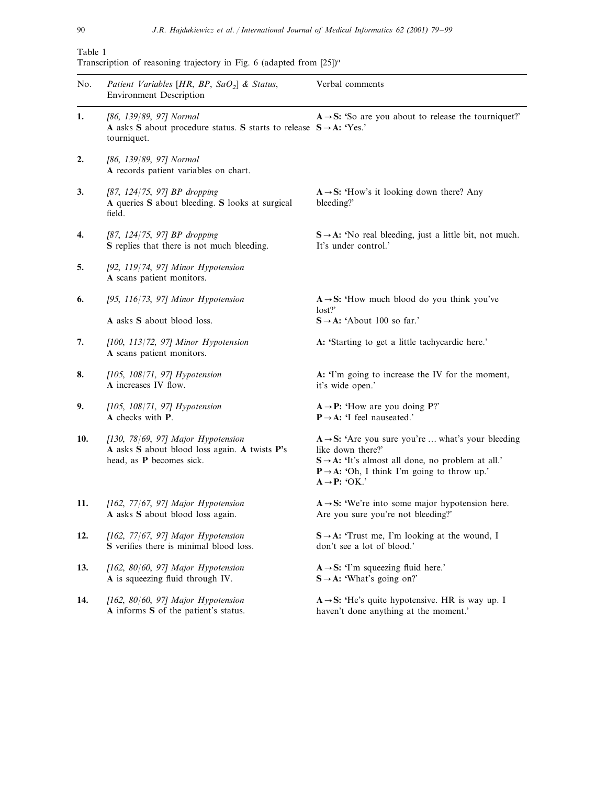| Transcription of reasoning trajectory in Fig. 6 (adapted from $[25]$ ) <sup>a</sup> |                                                                                                                           |                                                                                                                                                                                                                                                |  |  |
|-------------------------------------------------------------------------------------|---------------------------------------------------------------------------------------------------------------------------|------------------------------------------------------------------------------------------------------------------------------------------------------------------------------------------------------------------------------------------------|--|--|
| No.                                                                                 | Patient Variables [HR, BP, SaO <sub>2</sub> ] & Status,<br><b>Environment Description</b>                                 | Verbal comments                                                                                                                                                                                                                                |  |  |
| 1.                                                                                  | [86, 139/89, 97] Normal<br>A asks S about procedure status. S starts to release $S \rightarrow A$ : 'Yes.'<br>tourniquet. | $A \rightarrow S$ : 'So are you about to release the tourniquet?'                                                                                                                                                                              |  |  |
| 2.                                                                                  | [86, 139/89, 97] Normal<br>A records patient variables on chart.                                                          |                                                                                                                                                                                                                                                |  |  |
| 3.                                                                                  | [87, 124/75, 97] BP dropping<br>A queries S about bleeding. S looks at surgical<br>field.                                 | $A \rightarrow S$ : 'How's it looking down there? Any<br>bleeding?                                                                                                                                                                             |  |  |
| 4.                                                                                  | [87, 124/75, 97] BP dropping<br>S replies that there is not much bleeding.                                                | $S \rightarrow A$ : 'No real bleeding, just a little bit, not much.<br>It's under control.'                                                                                                                                                    |  |  |
| 5.                                                                                  | [92, 119/74, 97] Minor Hypotension<br>A scans patient monitors.                                                           |                                                                                                                                                                                                                                                |  |  |
| 6.                                                                                  | [95, 116/73, 97] Minor Hypotension                                                                                        | $A \rightarrow S$ : 'How much blood do you think you've<br>lost?                                                                                                                                                                               |  |  |
|                                                                                     | A asks S about blood loss.                                                                                                | $S \rightarrow A$ : 'About 100 so far.'                                                                                                                                                                                                        |  |  |
| 7.                                                                                  | $[100, 113/72, 97]$ Minor Hypotension<br>A scans patient monitors.                                                        | A: 'Starting to get a little tachycardic here.'                                                                                                                                                                                                |  |  |
| 8.                                                                                  | [105, 108/71, 97] Hypotension<br>A increases IV flow.                                                                     | A: 'I'm going to increase the IV for the moment,<br>it's wide open.'                                                                                                                                                                           |  |  |
| 9.                                                                                  | [105, 108/71, 97] Hypotension<br>A checks with P.                                                                         | $A \rightarrow P$ : 'How are you doing P?'<br>$P \rightarrow A$ : 'I feel nauseated.'                                                                                                                                                          |  |  |
| 10.                                                                                 | [130, 78/69, 97] Major Hypotension<br>A asks S about blood loss again. A twists P's<br>head, as P becomes sick.           | $A \rightarrow S$ : 'Are you sure you're  what's your bleeding<br>like down there?'<br>$S \rightarrow A$ : 'It's almost all done, no problem at all.'<br>$P \rightarrow A$ : 'Oh, I think I'm going to throw up.'<br>$A \rightarrow P$ : 'OK.' |  |  |
| 11.                                                                                 | [162, 77/67, 97] Major Hypotension<br>A asks S about blood loss again.                                                    | $A \rightarrow S$ : 'We're into some major hypotension here.<br>Are you sure you're not bleeding?'                                                                                                                                             |  |  |
| 12.                                                                                 | [162, 77/67, 97] Major Hypotension<br>S verifies there is minimal blood loss.                                             | $S \rightarrow A$ : 'Trust me, I'm looking at the wound, I<br>don't see a lot of blood.'                                                                                                                                                       |  |  |
| 13.                                                                                 | [162, 80/60, 97] Major Hypotension<br>A is squeezing fluid through IV.                                                    | $A \rightarrow S$ : 'I'm squeezing fluid here.'<br>$S \rightarrow A$ : 'What's going on?'                                                                                                                                                      |  |  |
| 14.                                                                                 | [162, 80/60, 97] Major Hypotension<br>A informs S of the patient's status.                                                | $A \rightarrow S$ : 'He's quite hypotensive. HR is way up. I<br>haven't done anything at the moment.'                                                                                                                                          |  |  |

# Table 1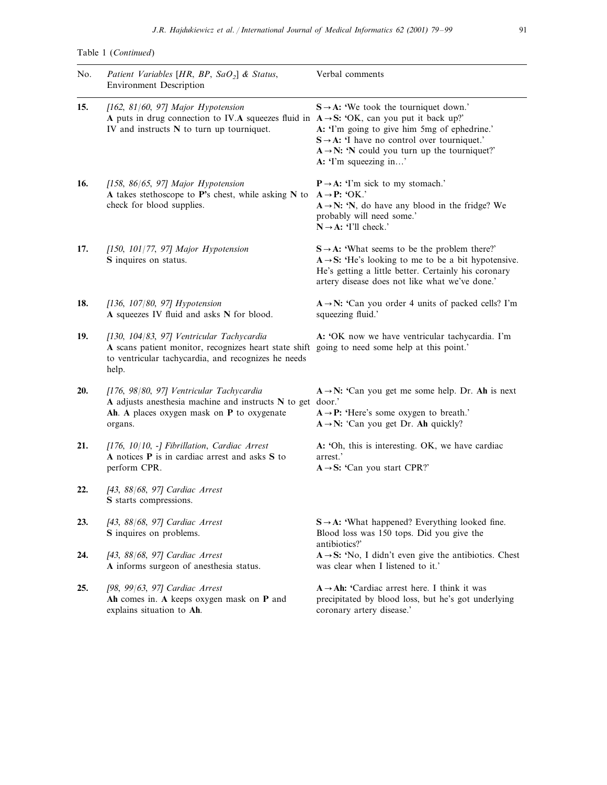Table 1 (*Continued*)

| No. | Patient Variables [HR, BP, SaO <sub>2</sub> ] & Status,<br><b>Environment Description</b>                                                                                                  | Verbal comments                                                                                                                                                                                                                                      |
|-----|--------------------------------------------------------------------------------------------------------------------------------------------------------------------------------------------|------------------------------------------------------------------------------------------------------------------------------------------------------------------------------------------------------------------------------------------------------|
| 15. | [162, 81/60, 97] Major Hypotension<br>A puts in drug connection to IV.A squeezes fluid in $A \rightarrow S$ : 'OK, can you put it back up?'<br>IV and instructs $N$ to turn up tourniquet. | $S \rightarrow A$ : 'We took the tourniquet down.'<br>A: 'I'm going to give him 5mg of ephedrine.'<br>$S \rightarrow A$ : 'I have no control over tourniquet.'<br>$A \rightarrow N$ : 'N could you turn up the tourniquet?'<br>A: 'I'm squeezing in' |
| 16. | [158, 86/65, 97] Major Hypotension<br>A takes stethoscope to P's chest, while asking N to<br>check for blood supplies.                                                                     | $P \rightarrow A$ : 'I'm sick to my stomach.'<br>$A \rightarrow P$ : 'OK.'<br>$A \rightarrow N$ : 'N, do have any blood in the fridge? We<br>probably will need some.'<br>$N \rightarrow A$ : 'I'll check.'                                          |
| 17. | [150, 101/77, 97] Major Hypotension<br>S inquires on status.                                                                                                                               | $S \rightarrow A$ : 'What seems to be the problem there?'<br>$A \rightarrow S$ : 'He's looking to me to be a bit hypotensive.<br>He's getting a little better. Certainly his coronary<br>artery disease does not like what we've done.'              |
| 18. | [136, 107/80, 97] Hypotension<br>A squeezes IV fluid and asks N for blood.                                                                                                                 | $A \rightarrow N$ : 'Can you order 4 units of packed cells? I'm<br>squeezing fluid.'                                                                                                                                                                 |
| 19. | [130, 104/83, 97] Ventricular Tachycardia<br>A scans patient monitor, recognizes heart state shift<br>to ventricular tachycardia, and recognizes he needs<br>help.                         | A: 'OK now we have ventricular tachycardia. I'm<br>going to need some help at this point.'                                                                                                                                                           |
| 20. | [176, 98/80, 97] Ventricular Tachycardia<br>A adjusts anesthesia machine and instructs N to get door.'<br>Ah. A places oxygen mask on P to oxygenate<br>organs.                            | $A \rightarrow N$ : 'Can you get me some help. Dr. Ah is next<br>$A \rightarrow P$ : 'Here's some oxygen to breath.'<br>$A \rightarrow N$ : 'Can you get Dr. Ah quickly?                                                                             |
| 21. | [176, 10/10, -] Fibrillation, Cardiac Arrest<br>A notices P is in cardiac arrest and asks S to<br>perform CPR.                                                                             | A: 'Oh, this is interesting. OK, we have cardiac<br>arrest.'<br>$A \rightarrow S$ : 'Can you start CPR?'                                                                                                                                             |
| 22. | [43, 88/68, 97] Cardiac Arrest<br>S starts compressions.                                                                                                                                   |                                                                                                                                                                                                                                                      |
| 23. | [43, 88/68, 97] Cardiac Arrest<br>S inquires on problems.                                                                                                                                  | $S \rightarrow A$ : 'What happened? Everything looked fine.<br>Blood loss was 150 tops. Did you give the<br>antibiotics?'                                                                                                                            |
| 24. | $[43, 88/68, 97]$ Cardiac Arrest<br>A informs surgeon of anesthesia status.                                                                                                                | $A \rightarrow S$ : 'No, I didn't even give the antibiotics. Chest<br>was clear when I listened to it.'                                                                                                                                              |
| 25. | [98, 99/63, 97] Cardiac Arrest<br>Ah comes in. A keeps oxygen mask on P and<br>explains situation to Ah.                                                                                   | $A \rightarrow Ah$ : 'Cardiac arrest here. I think it was<br>precipitated by blood loss, but he's got underlying<br>coronary artery disease.'                                                                                                        |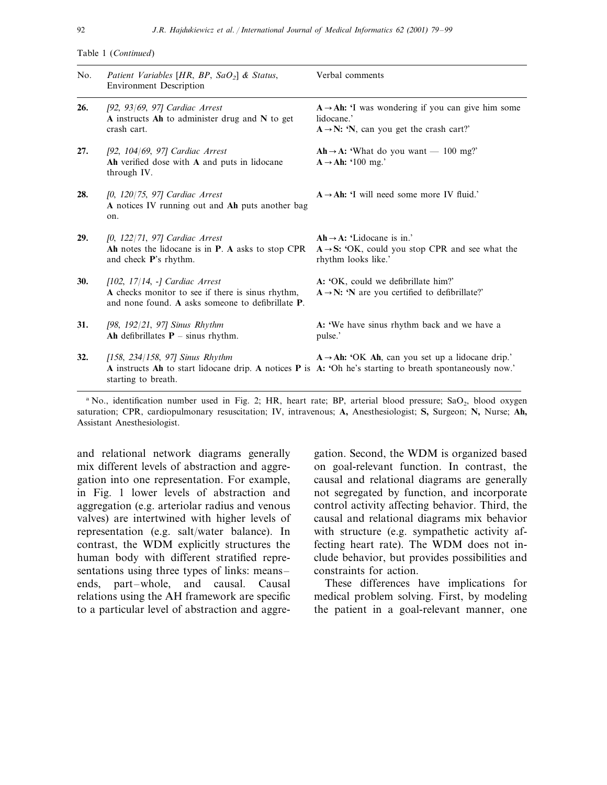Table 1 (*Continued*)

| No. | Patient Variables [HR, BP, SaO <sub>2</sub> ] & Status,<br><b>Environment Description</b>                                                                          | Verbal comments                                                                                                                      |
|-----|--------------------------------------------------------------------------------------------------------------------------------------------------------------------|--------------------------------------------------------------------------------------------------------------------------------------|
| 26. | [92, 93/69, 97] Cardiac Arrest<br>A instructs $Ah$ to administer drug and $N$ to get<br>crash cart.                                                                | $A \rightarrow Ah$ : 'I was wondering if you can give him some<br>lidocane.'<br>$A \rightarrow N$ : 'N, can you get the crash cart?' |
| 27. | [92, 104/69, 97] Cardiac Arrest<br>Ah verified dose with A and puts in lidocane<br>through IV.                                                                     | $Ah \rightarrow A$ : 'What do you want — 100 mg?'<br>$A \rightarrow Ah: '100 mg.'$                                                   |
| 28. | [0, 120/75, 97] Cardiac Arrest<br>A notices IV running out and Ah puts another bag<br>on.                                                                          | $A \rightarrow Ah$ : 'I will need some more IV fluid.'                                                                               |
| 29. | [0, 122/71, 97] Cardiac Arrest<br>Ah notes the lidocane is in P. A asks to stop CPR<br>and check P's rhythm.                                                       | $Ah \rightarrow A$ : 'Lidocane is in.'<br>$A \rightarrow S$ : 'OK, could you stop CPR and see what the<br>rhythm looks like.'        |
| 30. | $[102, 17/14, -]$ Cardiac Arrest<br>A checks monitor to see if there is sinus rhythm,<br>and none found. A asks someone to defibrillate <b>P</b> .                 | A: 'OK, could we defibrillate him?'<br>$A \rightarrow N$ : 'N are you certified to defibrillate?'                                    |
| 31. | [98, 192/21, 97] Sinus Rhythm<br>Ah defibrillates $P - \sinus r$ hythm.                                                                                            | A: 'We have sinus rhythm back and we have a<br>pulse.'                                                                               |
| 32. | [158, 234/158, 97] Sinus Rhythm<br>A instructs Ah to start lidocane drip. A notices P is A: 'Oh he's starting to breath spontaneously now.'<br>starting to breath. | $A \rightarrow Ah$ : 'OK Ah, can you set up a lidocane drip.'                                                                        |

<sup>a</sup> No., identification number used in Fig. 2; HR, heart rate; BP, arterial blood pressure; SaO<sub>2</sub>, blood oxygen saturation; CPR, cardiopulmonary resuscitation; IV, intravenous; **A,** Anesthesiologist; **S,** Surgeon; **N,** Nurse; **Ah,** Assistant Anesthesiologist.

and relational network diagrams generally mix different levels of abstraction and aggregation into one representation. For example, in Fig. 1 lower levels of abstraction and aggregation (e.g. arteriolar radius and venous valves) are intertwined with higher levels of representation (e.g. salt/water balance). In contrast, the WDM explicitly structures the human body with different stratified representations using three types of links: means– ends, part–whole, and causal. Causal relations using the AH framework are specific to a particular level of abstraction and aggregation. Second, the WDM is organized based on goal-relevant function. In contrast, the causal and relational diagrams are generally not segregated by function, and incorporate control activity affecting behavior. Third, the causal and relational diagrams mix behavior with structure (e.g. sympathetic activity affecting heart rate). The WDM does not include behavior, but provides possibilities and constraints for action.

These differences have implications for medical problem solving. First, by modeling the patient in a goal-relevant manner, one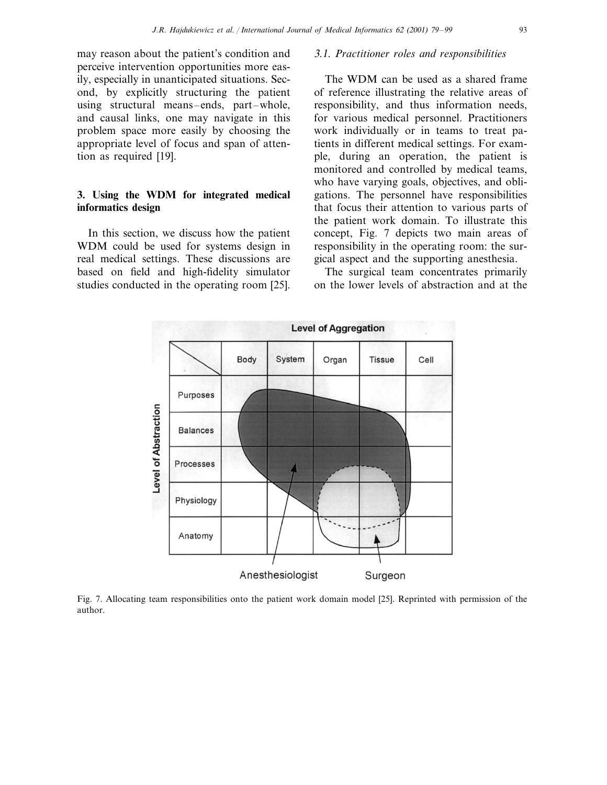may reason about the patient's condition and perceive intervention opportunities more easily, especially in unanticipated situations. Second, by explicitly structuring the patient using structural means–ends, part–whole, and causal links, one may navigate in this problem space more easily by choosing the appropriate level of focus and span of attention as required [19].

## **3. Using the WDM for integrated medical informatics design**

In this section, we discuss how the patient WDM could be used for systems design in real medical settings. These discussions are based on field and high-fidelity simulator studies conducted in the operating room [25].

### 3.1. *Practitioner roles and responsibilities*

The WDM can be used as a shared frame of reference illustrating the relative areas of responsibility, and thus information needs, for various medical personnel. Practitioners work individually or in teams to treat patients in different medical settings. For example, during an operation, the patient is monitored and controlled by medical teams, who have varying goals, objectives, and obligations. The personnel have responsibilities that focus their attention to various parts of the patient work domain. To illustrate this concept, Fig. 7 depicts two main areas of responsibility in the operating room: the surgical aspect and the supporting anesthesia.

The surgical team concentrates primarily on the lower levels of abstraction and at the



Fig. 7. Allocating team responsibilities onto the patient work domain model [25]. Reprinted with permission of the author.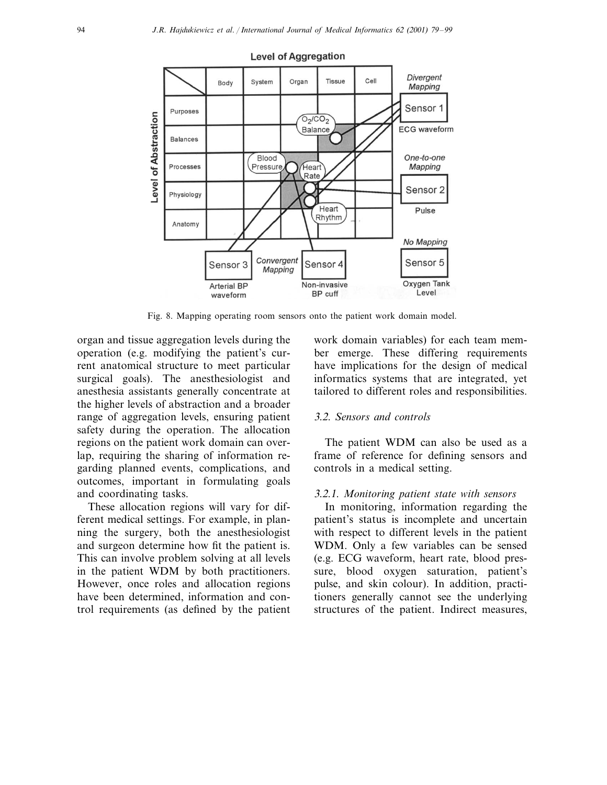

**Level of Aggregation** 

Fig. 8. Mapping operating room sensors onto the patient work domain model.

organ and tissue aggregation levels during the operation (e.g. modifying the patient's current anatomical structure to meet particular surgical goals). The anesthesiologist and anesthesia assistants generally concentrate at the higher levels of abstraction and a broader range of aggregation levels, ensuring patient safety during the operation. The allocation regions on the patient work domain can overlap, requiring the sharing of information regarding planned events, complications, and outcomes, important in formulating goals and coordinating tasks.

These allocation regions will vary for different medical settings. For example, in planning the surgery, both the anesthesiologist and surgeon determine how fit the patient is. This can involve problem solving at all levels in the patient WDM by both practitioners. However, once roles and allocation regions have been determined, information and control requirements (as defined by the patient work domain variables) for each team member emerge. These differing requirements have implications for the design of medical informatics systems that are integrated, yet tailored to different roles and responsibilities.

### 3.2. *Sensors and controls*

The patient WDM can also be used as a frame of reference for defining sensors and controls in a medical setting.

### 3.2.1. *Monitoring patient state with sensors*

In monitoring, information regarding the patient's status is incomplete and uncertain with respect to different levels in the patient WDM. Only a few variables can be sensed (e.g. ECG waveform, heart rate, blood pressure, blood oxygen saturation, patient's pulse, and skin colour). In addition, practitioners generally cannot see the underlying structures of the patient. Indirect measures,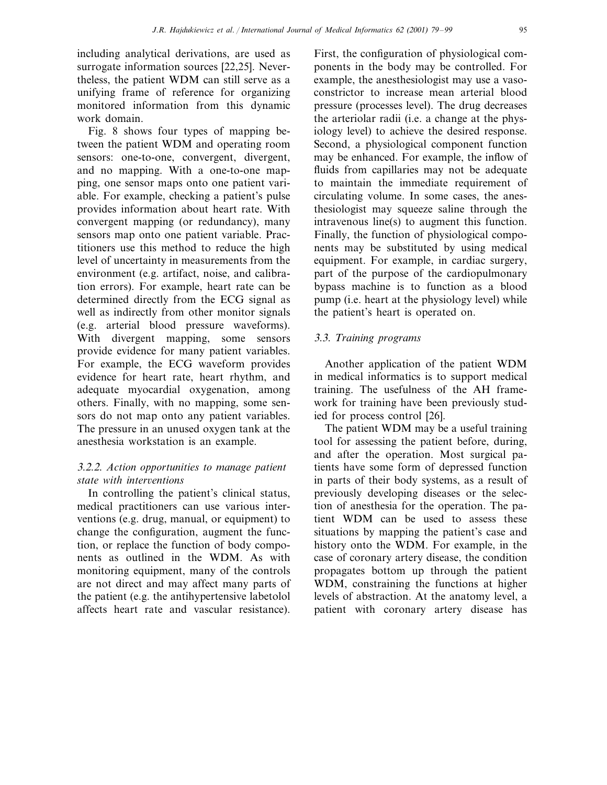including analytical derivations, are used as surrogate information sources [22,25]. Nevertheless, the patient WDM can still serve as a unifying frame of reference for organizing monitored information from this dynamic work domain.

Fig. 8 shows four types of mapping between the patient WDM and operating room sensors: one-to-one, convergent, divergent, and no mapping. With a one-to-one mapping, one sensor maps onto one patient variable. For example, checking a patient's pulse provides information about heart rate. With convergent mapping (or redundancy), many sensors map onto one patient variable. Practitioners use this method to reduce the high level of uncertainty in measurements from the environment (e.g. artifact, noise, and calibration errors). For example, heart rate can be determined directly from the ECG signal as well as indirectly from other monitor signals (e.g. arterial blood pressure waveforms). With divergent mapping, some sensors provide evidence for many patient variables. For example, the ECG waveform provides evidence for heart rate, heart rhythm, and adequate myocardial oxygenation, among others. Finally, with no mapping, some sensors do not map onto any patient variables. The pressure in an unused oxygen tank at the anesthesia workstation is an example.

## 3.2.2. *Action opportunities to manage patient state with interentions*

In controlling the patient's clinical status, medical practitioners can use various interventions (e.g. drug, manual, or equipment) to change the configuration, augment the function, or replace the function of body components as outlined in the WDM. As with monitoring equipment, many of the controls are not direct and may affect many parts of the patient (e.g. the antihypertensive labetolol affects heart rate and vascular resistance).

First, the configuration of physiological components in the body may be controlled. For example, the anesthesiologist may use a vasoconstrictor to increase mean arterial blood pressure (processes level). The drug decreases the arteriolar radii (i.e. a change at the physiology level) to achieve the desired response. Second, a physiological component function may be enhanced. For example, the inflow of fluids from capillaries may not be adequate to maintain the immediate requirement of circulating volume. In some cases, the anesthesiologist may squeeze saline through the intravenous line(s) to augment this function. Finally, the function of physiological components may be substituted by using medical equipment. For example, in cardiac surgery, part of the purpose of the cardiopulmonary bypass machine is to function as a blood pump (i.e. heart at the physiology level) while the patient's heart is operated on.

## 3.3. *Training programs*

Another application of the patient WDM in medical informatics is to support medical training. The usefulness of the AH framework for training have been previously studied for process control [26].

The patient WDM may be a useful training tool for assessing the patient before, during, and after the operation. Most surgical patients have some form of depressed function in parts of their body systems, as a result of previously developing diseases or the selection of anesthesia for the operation. The patient WDM can be used to assess these situations by mapping the patient's case and history onto the WDM. For example, in the case of coronary artery disease, the condition propagates bottom up through the patient WDM, constraining the functions at higher levels of abstraction. At the anatomy level, a patient with coronary artery disease has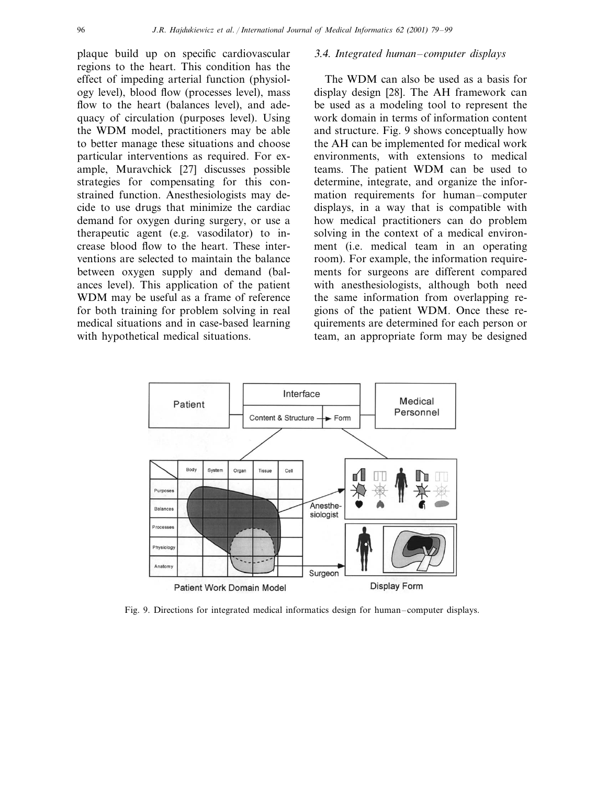plaque build up on specific cardiovascular regions to the heart. This condition has the effect of impeding arterial function (physiology level), blood flow (processes level), mass flow to the heart (balances level), and adequacy of circulation (purposes level). Using the WDM model, practitioners may be able to better manage these situations and choose particular interventions as required. For example, Muravchick [27] discusses possible strategies for compensating for this constrained function. Anesthesiologists may decide to use drugs that minimize the cardiac demand for oxygen during surgery, or use a therapeutic agent (e.g. vasodilator) to increase blood flow to the heart. These interventions are selected to maintain the balance between oxygen supply and demand (balances level). This application of the patient WDM may be useful as a frame of reference for both training for problem solving in real medical situations and in case-based learning with hypothetical medical situations.

### 3.4. *Integrated human*–*computer displays*

The WDM can also be used as a basis for display design [28]. The AH framework can be used as a modeling tool to represent the work domain in terms of information content and structure. Fig. 9 shows conceptually how the AH can be implemented for medical work environments, with extensions to medical teams. The patient WDM can be used to determine, integrate, and organize the information requirements for human–computer displays, in a way that is compatible with how medical practitioners can do problem solving in the context of a medical environment (i.e. medical team in an operating room). For example, the information requirements for surgeons are different compared with anesthesiologists, although both need the same information from overlapping regions of the patient WDM. Once these requirements are determined for each person or team, an appropriate form may be designed



Fig. 9. Directions for integrated medical informatics design for human–computer displays.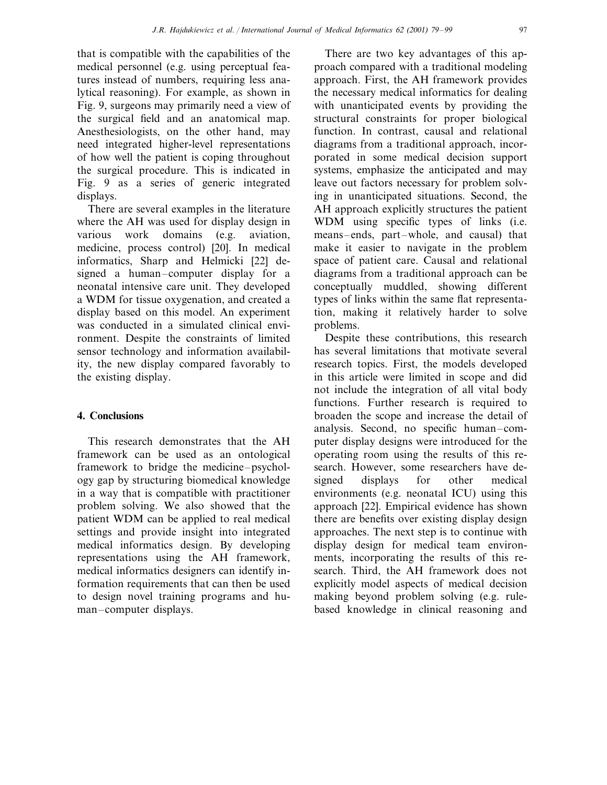that is compatible with the capabilities of the medical personnel (e.g. using perceptual features instead of numbers, requiring less analytical reasoning). For example, as shown in Fig. 9, surgeons may primarily need a view of the surgical field and an anatomical map. Anesthesiologists, on the other hand, may need integrated higher-level representations of how well the patient is coping throughout the surgical procedure. This is indicated in Fig. 9 as a series of generic integrated displays.

There are several examples in the literature where the AH was used for display design in various work domains (e.g. aviation, medicine, process control) [20]. In medical informatics, Sharp and Helmicki [22] designed a human–computer display for a neonatal intensive care unit. They developed a WDM for tissue oxygenation, and created a display based on this model. An experiment was conducted in a simulated clinical environment. Despite the constraints of limited sensor technology and information availability, the new display compared favorably to the existing display.

## **4. Conclusions**

This research demonstrates that the AH framework can be used as an ontological framework to bridge the medicine–psychology gap by structuring biomedical knowledge in a way that is compatible with practitioner problem solving. We also showed that the patient WDM can be applied to real medical settings and provide insight into integrated medical informatics design. By developing representations using the AH framework, medical informatics designers can identify information requirements that can then be used to design novel training programs and human–computer displays.

There are two key advantages of this approach compared with a traditional modeling approach. First, the AH framework provides the necessary medical informatics for dealing with unanticipated events by providing the structural constraints for proper biological function. In contrast, causal and relational diagrams from a traditional approach, incorporated in some medical decision support systems, emphasize the anticipated and may leave out factors necessary for problem solving in unanticipated situations. Second, the AH approach explicitly structures the patient WDM using specific types of links (i.e. means–ends, part–whole, and causal) that make it easier to navigate in the problem space of patient care. Causal and relational diagrams from a traditional approach can be conceptually muddled, showing different types of links within the same flat representation, making it relatively harder to solve problems.

Despite these contributions, this research has several limitations that motivate several research topics. First, the models developed in this article were limited in scope and did not include the integration of all vital body functions. Further research is required to broaden the scope and increase the detail of analysis. Second, no specific human–computer display designs were introduced for the operating room using the results of this research. However, some researchers have designed displays for other medical environments (e.g. neonatal ICU) using this approach [22]. Empirical evidence has shown there are benefits over existing display design approaches. The next step is to continue with display design for medical team environments, incorporating the results of this research. Third, the AH framework does not explicitly model aspects of medical decision making beyond problem solving (e.g. rulebased knowledge in clinical reasoning and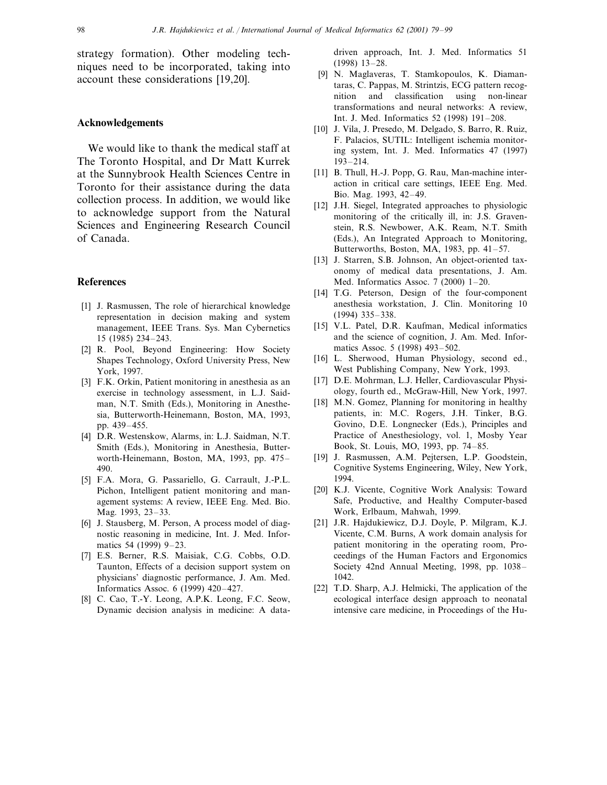strategy formation). Other modeling techniques need to be incorporated, taking into account these considerations [19,20].

### **Acknowledgements**

We would like to thank the medical staff at The Toronto Hospital, and Dr Matt Kurrek at the Sunnybrook Health Sciences Centre in Toronto for their assistance during the data collection process. In addition, we would like to acknowledge support from the Natural Sciences and Engineering Research Council of Canada.

### **References**

- [1] J. Rasmussen, The role of hierarchical knowledge representation in decision making and system management, IEEE Trans. Sys. Man Cybernetics 15 (1985) 234–243.
- [2] R. Pool, Beyond Engineering: How Society Shapes Technology, Oxford University Press, New York, 1997.
- [3] F.K. Orkin, Patient monitoring in anesthesia as an exercise in technology assessment, in L.J. Saidman, N.T. Smith (Eds.), Monitoring in Anesthesia, Butterworth-Heinemann, Boston, MA, 1993, pp. 439–455.
- [4] D.R. Westenskow, Alarms, in: L.J. Saidman, N.T. Smith (Eds.), Monitoring in Anesthesia, Butterworth-Heinemann, Boston, MA, 1993, pp. 475– 490.
- [5] F.A. Mora, G. Passariello, G. Carrault, J.-P.L. Pichon, Intelligent patient monitoring and management systems: A review, IEEE Eng. Med. Bio. Mag. 1993, 23–33.
- [6] J. Stausberg, M. Person, A process model of diagnostic reasoning in medicine, Int. J. Med. Informatics 54 (1999) 9–23.
- [7] E.S. Berner, R.S. Maisiak, C.G. Cobbs, O.D. Taunton, Effects of a decision support system on physicians' diagnostic performance, J. Am. Med. Informatics Assoc. 6 (1999) 420–427.
- [8] C. Cao, T.-Y. Leong, A.P.K. Leong, F.C. Seow, Dynamic decision analysis in medicine: A data-

driven approach, Int. J. Med. Informatics 51 (1998) 13–28.

- [9] N. Maglaveras, T. Stamkopoulos, K. Diamantaras, C. Pappas, M. Strintzis, ECG pattern recognition and classification using non-linear transformations and neural networks: A review, Int. J. Med. Informatics 52 (1998) 191–208.
- [10] J. Vila, J. Presedo, M. Delgado, S. Barro, R. Ruiz, F. Palacios, SUTIL: Intelligent ischemia monitoring system, Int. J. Med. Informatics 47 (1997) 193–214.
- [11] B. Thull, H.-J. Popp, G. Rau, Man-machine interaction in critical care settings, IEEE Eng. Med. Bio. Mag. 1993, 42–49.
- [12] J.H. Siegel, Integrated approaches to physiologic monitoring of the critically ill, in: J.S. Gravenstein, R.S. Newbower, A.K. Ream, N.T. Smith (Eds.), An Integrated Approach to Monitoring, Butterworths, Boston, MA, 1983, pp. 41–57.
- [13] J. Starren, S.B. Johnson, An object-oriented taxonomy of medical data presentations, J. Am. Med. Informatics Assoc. 7 (2000) 1–20.
- [14] T.G. Peterson, Design of the four-component anesthesia workstation, J. Clin. Monitoring 10 (1994) 335–338.
- [15] V.L. Patel, D.R. Kaufman, Medical informatics and the science of cognition, J. Am. Med. Informatics Assoc. 5 (1998) 493–502.
- [16] L. Sherwood, Human Physiology, second ed., West Publishing Company, New York, 1993.
- [17] D.E. Mohrman, L.J. Heller, Cardiovascular Physiology, fourth ed., McGraw-Hill, New York, 1997.
- [18] M.N. Gomez, Planning for monitoring in healthy patients, in: M.C. Rogers, J.H. Tinker, B.G. Govino, D.E. Longnecker (Eds.), Principles and Practice of Anesthesiology, vol. 1, Mosby Year Book, St. Louis, MO, 1993, pp. 74–85.
- [19] J. Rasmussen, A.M. Pejtersen, L.P. Goodstein, Cognitive Systems Engineering, Wiley, New York, 1994.
- [20] K.J. Vicente, Cognitive Work Analysis: Toward Safe, Productive, and Healthy Computer-based Work, Erlbaum, Mahwah, 1999.
- [21] J.R. Hajdukiewicz, D.J. Doyle, P. Milgram, K.J. Vicente, C.M. Burns, A work domain analysis for patient monitoring in the operating room, Proceedings of the Human Factors and Ergonomics Society 42nd Annual Meeting, 1998, pp. 1038– 1042.
- [22] T.D. Sharp, A.J. Helmicki, The application of the ecological interface design approach to neonatal . intensive care medicine, in Proceedings of the Hu-